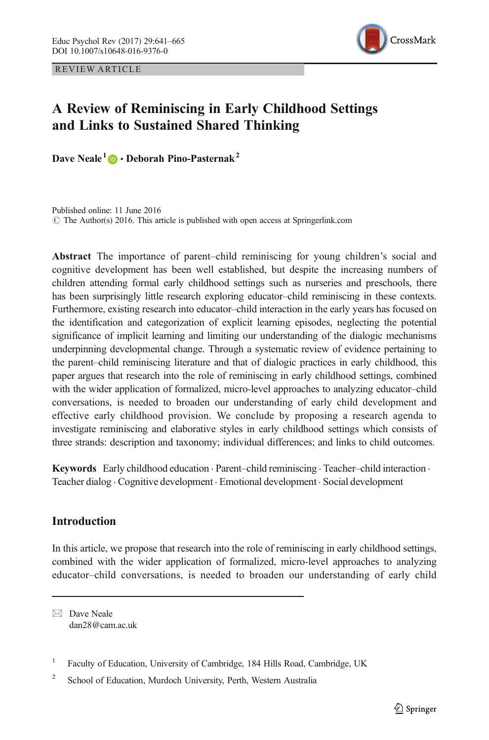<span id="page-0-0"></span>REVIEW ARTICLE



# A Review of Reminiscing in Early Childhood Settings and Links to Sustained Shared Thinking

Dave Neale<sup>1</sup>  $\mathbf{D} \cdot \mathbf{De}$ borah Pino-Pasternak<sup>2</sup>

Published online: 11 June 2016  $\circ$  The Author(s) 2016. This article is published with open access at Springerlink.com

Abstract The importance of parent–child reminiscing for young children's social and cognitive development has been well established, but despite the increasing numbers of children attending formal early childhood settings such as nurseries and preschools, there has been surprisingly little research exploring educator–child reminiscing in these contexts. Furthermore, existing research into educator–child interaction in the early years has focused on the identification and categorization of explicit learning episodes, neglecting the potential significance of implicit learning and limiting our understanding of the dialogic mechanisms underpinning developmental change. Through a systematic review of evidence pertaining to the parent–child reminiscing literature and that of dialogic practices in early childhood, this paper argues that research into the role of reminiscing in early childhood settings, combined with the wider application of formalized, micro-level approaches to analyzing educator–child conversations, is needed to broaden our understanding of early child development and effective early childhood provision. We conclude by proposing a research agenda to investigate reminiscing and elaborative styles in early childhood settings which consists of three strands: description and taxonomy; individual differences; and links to child outcomes.

Keywords Early childhood education . Parent–child reminiscing . Teacher–child interaction . Teacher dialog . Cognitive development . Emotional development . Social development

## **Introduction**

In this article, we propose that research into the role of reminiscing in early childhood settings, combined with the wider application of formalized, micro-level approaches to analyzing educator–child conversations, is needed to broaden our understanding of early child

 $\boxtimes$  Dave Neale dan28@cam.ac.uk

<sup>&</sup>lt;sup>1</sup> Faculty of Education, University of Cambridge, 184 Hills Road, Cambridge, UK

<sup>&</sup>lt;sup>2</sup> School of Education, Murdoch University, Perth, Western Australia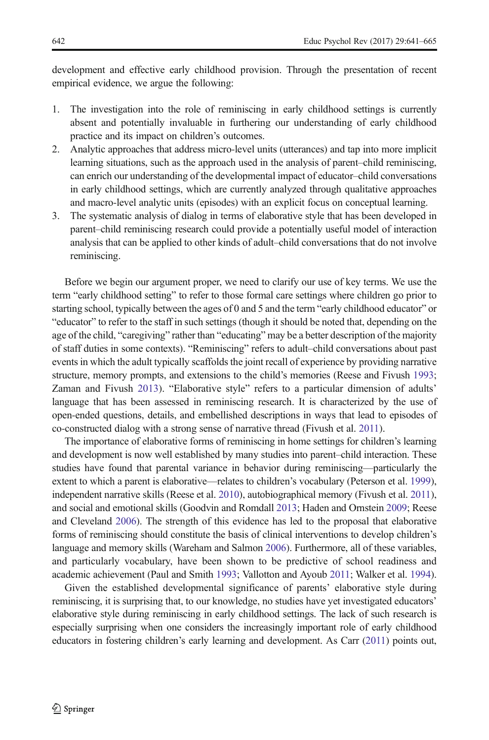development and effective early childhood provision. Through the presentation of recent empirical evidence, we argue the following:

- 1. The investigation into the role of reminiscing in early childhood settings is currently absent and potentially invaluable in furthering our understanding of early childhood practice and its impact on children's outcomes.
- 2. Analytic approaches that address micro-level units (utterances) and tap into more implicit learning situations, such as the approach used in the analysis of parent–child reminiscing, can enrich our understanding of the developmental impact of educator–child conversations in early childhood settings, which are currently analyzed through qualitative approaches and macro-level analytic units (episodes) with an explicit focus on conceptual learning.
- 3. The systematic analysis of dialog in terms of elaborative style that has been developed in parent–child reminiscing research could provide a potentially useful model of interaction analysis that can be applied to other kinds of adult–child conversations that do not involve reminiscing.

Before we begin our argument proper, we need to clarify our use of key terms. We use the term "early childhood setting" to refer to those formal care settings where children go prior to starting school, typically between the ages of 0 and 5 and the term "early childhood educator" or "educator" to refer to the staff in such settings (though it should be noted that, depending on the age of the child, "caregiving" rather than "educating" may be a better description of the majority of staff duties in some contexts). "Reminiscing" refers to adult–child conversations about past events in which the adult typically scaffolds the joint recall of experience by providing narrative structure, memory prompts, and extensions to the child's memories (Reese and Fivush [1993](#page-23-0); Zaman and Fivush [2013\)](#page-24-0). "Elaborative style" refers to a particular dimension of adults' language that has been assessed in reminiscing research. It is characterized by the use of open-ended questions, details, and embellished descriptions in ways that lead to episodes of co-constructed dialog with a strong sense of narrative thread (Fivush et al. [2011\)](#page-21-0).

The importance of elaborative forms of reminiscing in home settings for children's learning and development is now well established by many studies into parent–child interaction. These studies have found that parental variance in behavior during reminiscing—particularly the extent to which a parent is elaborative—relates to children's vocabulary (Peterson et al. [1999](#page-23-0)), independent narrative skills (Reese et al. [2010](#page-23-0)), autobiographical memory (Fivush et al. [2011](#page-21-0)), and social and emotional skills (Goodvin and Romdall [2013](#page-21-0); Haden and Ornstein [2009;](#page-22-0) Reese and Cleveland [2006\)](#page-23-0). The strength of this evidence has led to the proposal that elaborative forms of reminiscing should constitute the basis of clinical interventions to develop children's language and memory skills (Wareham and Salmon [2006](#page-24-0)). Furthermore, all of these variables, and particularly vocabulary, have been shown to be predictive of school readiness and academic achievement (Paul and Smith [1993;](#page-23-0) Vallotton and Ayoub [2011;](#page-24-0) Walker et al. [1994](#page-24-0)).

Given the established developmental significance of parents' elaborative style during reminiscing, it is surprising that, to our knowledge, no studies have yet investigated educators' elaborative style during reminiscing in early childhood settings. The lack of such research is especially surprising when one considers the increasingly important role of early childhood educators in fostering children's early learning and development. As Carr ([2011\)](#page-21-0) points out,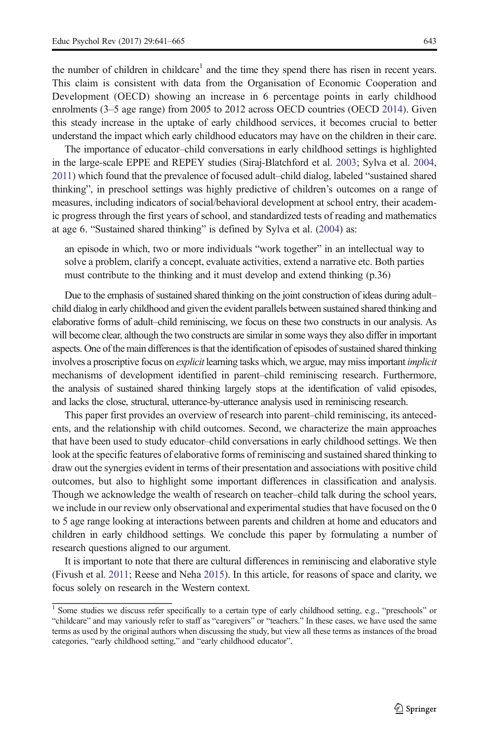the number of children in childcare<sup>1</sup> and the time they spend there has risen in recent years. This claim is consistent with data from the Organisation of Economic Cooperation and Development (OECD) showing an increase in 6 percentage points in early childhood enrolments (3–5 age range) from 2005 to 2012 across OECD countries (OECD [2014](#page-23-0)). Given this steady increase in the uptake of early childhood services, it becomes crucial to better understand the impact which early childhood educators may have on the children in their care.

The importance of educator–child conversations in early childhood settings is highlighted in the large-scale EPPE and REPEY studies (Siraj-Blatchford et al. [2003;](#page-23-0) Sylva et al. [2004](#page-23-0), [2011\)](#page-23-0) which found that the prevalence of focused adult–child dialog, labeled "sustained shared thinking", in preschool settings was highly predictive of children's outcomes on a range of measures, including indicators of social/behavioral development at school entry, their academic progress through the first years of school, and standardized tests of reading and mathematics at age 6. "Sustained shared thinking" is defined by Sylva et al. ([2004](#page-23-0)) as:

an episode in which, two or more individuals "work together" in an intellectual way to solve a problem, clarify a concept, evaluate activities, extend a narrative etc. Both parties must contribute to the thinking and it must develop and extend thinking (p.36)

Due to the emphasis of sustained shared thinking on the joint construction of ideas during adult– child dialog in early childhood and given the evident parallels between sustained shared thinking and elaborative forms of adult–child reminiscing, we focus on these two constructs in our analysis. As will become clear, although the two constructs are similar in some ways they also differ in important aspects. One of the main differences is that the identification of episodes of sustained shared thinking involves a proscriptive focus on explicit learning tasks which, we argue, may miss important implicit mechanisms of development identified in parent–child reminiscing research. Furthermore, the analysis of sustained shared thinking largely stops at the identification of valid episodes, and lacks the close, structural, utterance-by-utterance analysis used in reminiscing research.

This paper first provides an overview of research into parent–child reminiscing, its antecedents, and the relationship with child outcomes. Second, we characterize the main approaches that have been used to study educator–child conversations in early childhood settings. We then look at the specific features of elaborative forms of reminiscing and sustained shared thinking to draw out the synergies evident in terms of their presentation and associations with positive child outcomes, but also to highlight some important differences in classification and analysis. Though we acknowledge the wealth of research on teacher–child talk during the school years, we include in our review only observational and experimental studies that have focused on the 0 to 5 age range looking at interactions between parents and children at home and educators and children in early childhood settings. We conclude this paper by formulating a number of research questions aligned to our argument.

It is important to note that there are cultural differences in reminiscing and elaborative style (Fivush et al. [2011;](#page-21-0) Reese and Neha [2015\)](#page-23-0). In this article, for reasons of space and clarity, we focus solely on research in the Western context.

<sup>&</sup>lt;sup>1</sup> Some studies we discuss refer specifically to a certain type of early childhood setting, e.g., "preschools" or "childcare" and may variously refer to staff as "caregivers" or "teachers." In these cases, we have used the same terms as used by the original authors when discussing the study, but view all these terms as instances of the broad categories, "early childhood setting," and "early childhood educator".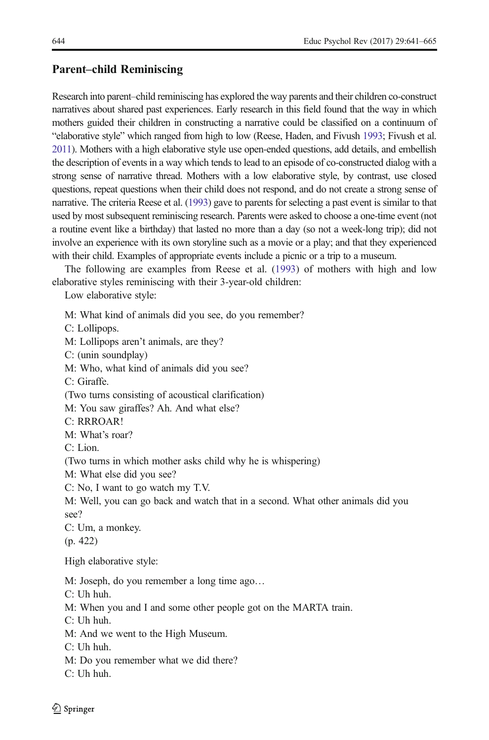### <span id="page-3-0"></span>Parent–child Reminiscing

Research into parent–child reminiscing has explored the way parents and their children co-construct narratives about shared past experiences. Early research in this field found that the way in which mothers guided their children in constructing a narrative could be classified on a continuum of "elaborative style" which ranged from high to low (Reese, Haden, and Fivush [1993;](#page-23-0) Fivush et al. [2011](#page-21-0)). Mothers with a high elaborative style use open-ended questions, add details, and embellish the description of events in a way which tends to lead to an episode of co-constructed dialog with a strong sense of narrative thread. Mothers with a low elaborative style, by contrast, use closed questions, repeat questions when their child does not respond, and do not create a strong sense of narrative. The criteria Reese et al. [\(1993](#page-23-0)) gave to parents for selecting a past event is similar to that used by most subsequent reminiscing research. Parents were asked to choose a one-time event (not a routine event like a birthday) that lasted no more than a day (so not a week-long trip); did not involve an experience with its own storyline such as a movie or a play; and that they experienced with their child. Examples of appropriate events include a picnic or a trip to a museum.

The following are examples from Reese et al. [\(1993](#page-23-0)) of mothers with high and low elaborative styles reminiscing with their 3-year-old children:

Low elaborative style:

M: What kind of animals did you see, do you remember? C: Lollipops. M: Lollipops aren't animals, are they? C: (unin soundplay) M: Who, what kind of animals did you see? C: Giraffe. (Two turns consisting of acoustical clarification) M: You saw giraffes? Ah. And what else? C: RRROAR! M: What's roar? C: Lion. (Two turns in which mother asks child why he is whispering) M: What else did you see? C: No, I want to go watch my T.V. M: Well, you can go back and watch that in a second. What other animals did you see? C: Um, a monkey. (p. 422) High elaborative style: M: Joseph, do you remember a long time ago… C: Uh huh. M: When you and I and some other people got on the MARTA train. C: Uh huh. M: And we went to the High Museum. C: Uh huh. M: Do you remember what we did there? C: Uh huh.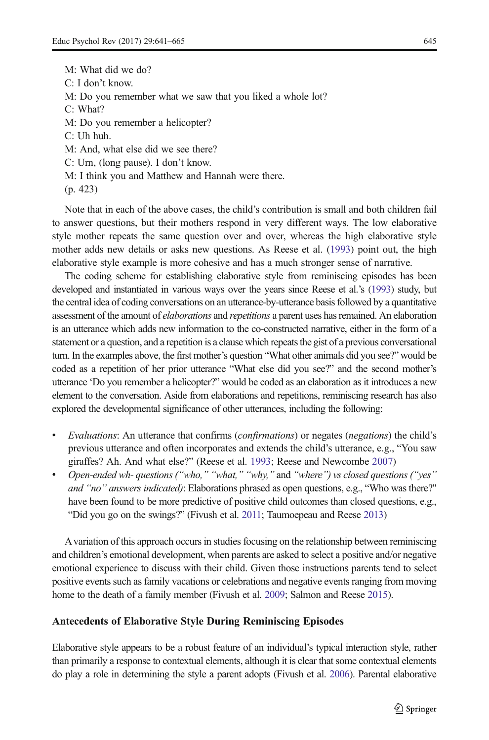M: What did we do? C: I don't know. M: Do you remember what we saw that you liked a whole lot? C: What? M: Do you remember a helicopter? C: Uh huh. M: And, what else did we see there? C: Urn, (long pause). I don't know. M: I think you and Matthew and Hannah were there. (p. 423)

Note that in each of the above cases, the child's contribution is small and both children fail to answer questions, but their mothers respond in very different ways. The low elaborative style mother repeats the same question over and over, whereas the high elaborative style mother adds new details or asks new questions. As Reese et al. ([1993](#page-23-0)) point out, the high elaborative style example is more cohesive and has a much stronger sense of narrative.

The coding scheme for establishing elaborative style from reminiscing episodes has been developed and instantiated in various ways over the years since Reese et al.'s [\(1993](#page-23-0)) study, but the central idea of coding conversations on an utterance-by-utterance basis followed by a quantitative assessment of the amount of *elaborations* and *repetitions* a parent uses has remained. An elaboration is an utterance which adds new information to the co-constructed narrative, either in the form of a statement or a question, and a repetition is a clause which repeats the gist of a previous conversational turn. In the examples above, the first mother's question "What other animals did you see?" would be coded as a repetition of her prior utterance "What else did you see?" and the second mother's utterance 'Do you remember a helicopter?" would be coded as an elaboration as it introduces a new element to the conversation. Aside from elaborations and repetitions, reminiscing research has also explored the developmental significance of other utterances, including the following:

- Evaluations: An utterance that confirms (*confirmations*) or negates (*negations*) the child's previous utterance and often incorporates and extends the child's utterance, e.g., "You saw giraffes? Ah. And what else?" (Reese et al. [1993;](#page-23-0) Reese and Newcombe [2007](#page-23-0))
- & Open-ended wh- questions ("who," "what," "why," and "where") vs closed questions ("yes" and "no" answers indicated): Elaborations phrased as open questions, e.g., "Who was there?" have been found to be more predictive of positive child outcomes than closed questions, e.g., "Did you go on the swings?" (Fivush et al. [2011;](#page-21-0) Taumoepeau and Reese [2013\)](#page-23-0)

A variation of this approach occurs in studies focusing on the relationship between reminiscing and children's emotional development, when parents are asked to select a positive and/or negative emotional experience to discuss with their child. Given those instructions parents tend to select positive events such as family vacations or celebrations and negative events ranging from moving home to the death of a family member (Fivush et al. [2009](#page-21-0); Salmon and Reese [2015\)](#page-23-0).

### Antecedents of Elaborative Style During Reminiscing Episodes

Elaborative style appears to be a robust feature of an individual's typical interaction style, rather than primarily a response to contextual elements, although it is clear that some contextual elements do play a role in determining the style a parent adopts (Fivush et al. [2006](#page-21-0)). Parental elaborative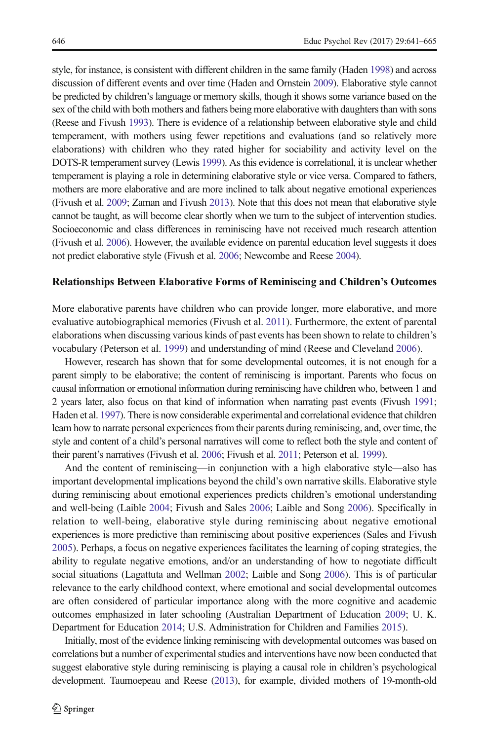discussion of different events and over time (Haden and Ornstein [2009\)](#page-22-0). Elaborative style cannot be predicted by children's language or memory skills, though it shows some variance based on the sex of the child with both mothers and fathers being more elaborative with daughters than with sons (Reese and Fivush [1993\)](#page-23-0). There is evidence of a relationship between elaborative style and child temperament, with mothers using fewer repetitions and evaluations (and so relatively more elaborations) with children who they rated higher for sociability and activity level on the DOTS-R temperament survey (Lewis [1999](#page-22-0)). As this evidence is correlational, it is unclear whether temperament is playing a role in determining elaborative style or vice versa. Compared to fathers, mothers are more elaborative and are more inclined to talk about negative emotional experiences (Fivush et al. [2009;](#page-21-0) Zaman and Fivush [2013](#page-24-0)). Note that this does not mean that elaborative style cannot be taught, as will become clear shortly when we turn to the subject of intervention studies. Socioeconomic and class differences in reminiscing have not received much research attention (Fivush et al. [2006\)](#page-21-0). However, the available evidence on parental education level suggests it does not predict elaborative style (Fivush et al. [2006;](#page-21-0) Newcombe and Reese [2004\)](#page-23-0).

#### Relationships Between Elaborative Forms of Reminiscing and Children's Outcomes

More elaborative parents have children who can provide longer, more elaborative, and more evaluative autobiographical memories (Fivush et al. [2011](#page-21-0)). Furthermore, the extent of parental elaborations when discussing various kinds of past events has been shown to relate to children's vocabulary (Peterson et al. [1999\)](#page-23-0) and understanding of mind (Reese and Cleveland [2006\)](#page-23-0).

However, research has shown that for some developmental outcomes, it is not enough for a parent simply to be elaborative; the content of reminiscing is important. Parents who focus on causal information or emotional information during reminiscing have children who, between 1 and 2 years later, also focus on that kind of information when narrating past events (Fivush [1991](#page-21-0); Haden et al. [1997\)](#page-22-0). There is now considerable experimental and correlational evidence that children learn how to narrate personal experiences from their parents during reminiscing, and, over time, the style and content of a child's personal narratives will come to reflect both the style and content of their parent's narratives (Fivush et al. [2006](#page-21-0); Fivush et al. [2011;](#page-21-0) Peterson et al. [1999](#page-23-0)).

And the content of reminiscing—in conjunction with a high elaborative style—also has important developmental implications beyond the child's own narrative skills. Elaborative style during reminiscing about emotional experiences predicts children's emotional understanding and well-being (Laible [2004;](#page-22-0) Fivush and Sales [2006;](#page-21-0) Laible and Song [2006](#page-22-0)). Specifically in relation to well-being, elaborative style during reminiscing about negative emotional experiences is more predictive than reminiscing about positive experiences (Sales and Fivush [2005](#page-23-0)). Perhaps, a focus on negative experiences facilitates the learning of coping strategies, the ability to regulate negative emotions, and/or an understanding of how to negotiate difficult social situations (Lagattuta and Wellman [2002;](#page-22-0) Laible and Song [2006](#page-22-0)). This is of particular relevance to the early childhood context, where emotional and social developmental outcomes are often considered of particular importance along with the more cognitive and academic outcomes emphasized in later schooling (Australian Department of Education [2009;](#page-20-0) U. K. Department for Education [2014;](#page-23-0) U.S. Administration for Children and Families [2015](#page-23-0)).

Initially, most of the evidence linking reminiscing with developmental outcomes was based on correlations but a number of experimental studies and interventions have now been conducted that suggest elaborative style during reminiscing is playing a causal role in children's psychological development. Taumoepeau and Reese ([2013\)](#page-23-0), for example, divided mothers of 19-month-old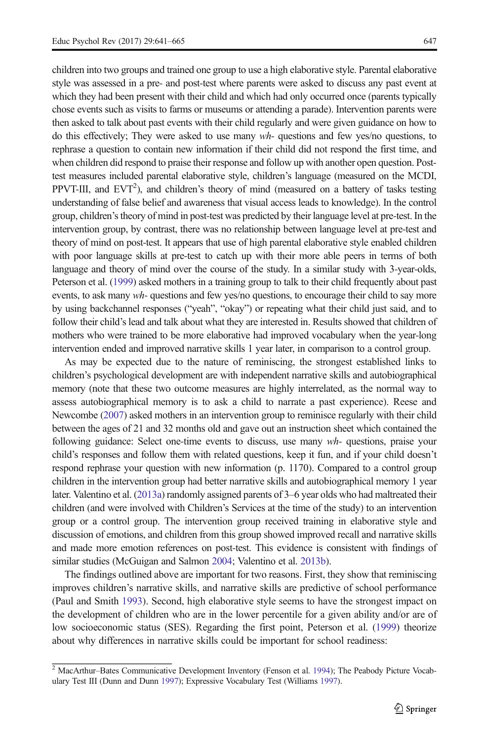children into two groups and trained one group to use a high elaborative style. Parental elaborative style was assessed in a pre- and post-test where parents were asked to discuss any past event at which they had been present with their child and which had only occurred once (parents typically chose events such as visits to farms or museums or attending a parade). Intervention parents were then asked to talk about past events with their child regularly and were given guidance on how to do this effectively; They were asked to use many  $wh$ - questions and few yes/no questions, to rephrase a question to contain new information if their child did not respond the first time, and when children did respond to praise their response and follow up with another open question. Posttest measures included parental elaborative style, children's language (measured on the MCDI, PPVT-III, and  $EVT^2$ ), and children's theory of mind (measured on a battery of tasks testing understanding of false belief and awareness that visual access leads to knowledge). In the control group, children's theory of mind in post-test was predicted by their language level at pre-test. In the intervention group, by contrast, there was no relationship between language level at pre-test and theory of mind on post-test. It appears that use of high parental elaborative style enabled children with poor language skills at pre-test to catch up with their more able peers in terms of both language and theory of mind over the course of the study. In a similar study with 3-year-olds, Peterson et al. [\(1999\)](#page-23-0) asked mothers in a training group to talk to their child frequently about past events, to ask many wh- questions and few yes/no questions, to encourage their child to say more by using backchannel responses ("yeah", "okay") or repeating what their child just said, and to follow their child's lead and talk about what they are interested in. Results showed that children of mothers who were trained to be more elaborative had improved vocabulary when the year-long intervention ended and improved narrative skills 1 year later, in comparison to a control group.

As may be expected due to the nature of reminiscing, the strongest established links to children's psychological development are with independent narrative skills and autobiographical memory (note that these two outcome measures are highly interrelated, as the normal way to assess autobiographical memory is to ask a child to narrate a past experience). Reese and Newcombe [\(2007](#page-23-0)) asked mothers in an intervention group to reminisce regularly with their child between the ages of 21 and 32 months old and gave out an instruction sheet which contained the following guidance: Select one-time events to discuss, use many wh- questions, praise your child's responses and follow them with related questions, keep it fun, and if your child doesn't respond rephrase your question with new information (p. 1170). Compared to a control group children in the intervention group had better narrative skills and autobiographical memory 1 year later. Valentino et al. [\(2013a](#page-23-0)) randomly assigned parents of 3–6 year olds who had maltreated their children (and were involved with Children's Services at the time of the study) to an intervention group or a control group. The intervention group received training in elaborative style and discussion of emotions, and children from this group showed improved recall and narrative skills and made more emotion references on post-test. This evidence is consistent with findings of similar studies (McGuigan and Salmon [2004;](#page-22-0) Valentino et al. [2013b\)](#page-24-0).

The findings outlined above are important for two reasons. First, they show that reminiscing improves children's narrative skills, and narrative skills are predictive of school performance (Paul and Smith [1993](#page-23-0)). Second, high elaborative style seems to have the strongest impact on the development of children who are in the lower percentile for a given ability and/or are of low socioeconomic status (SES). Regarding the first point, Peterson et al. ([1999](#page-23-0)) theorize about why differences in narrative skills could be important for school readiness:

<sup>2</sup> MacArthur–Bates Communicative Development Inventory (Fenson et al. [1994\)](#page-21-0); The Peabody Picture Vocabulary Test III (Dunn and Dunn [1997](#page-21-0)); Expressive Vocabulary Test (Williams [1997](#page-24-0)).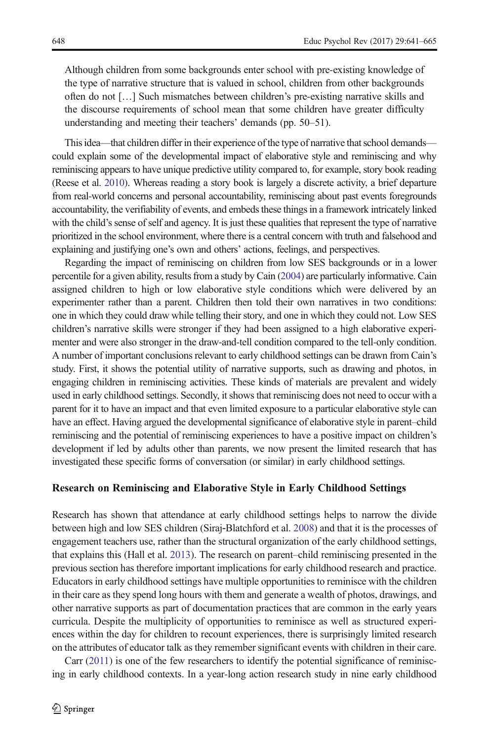Although children from some backgrounds enter school with pre-existing knowledge of the type of narrative structure that is valued in school, children from other backgrounds often do not […] Such mismatches between children's pre-existing narrative skills and the discourse requirements of school mean that some children have greater difficulty understanding and meeting their teachers' demands (pp. 50–51).

This idea—that children differ in their experience of the type of narrative that school demands could explain some of the developmental impact of elaborative style and reminiscing and why reminiscing appears to have unique predictive utility compared to, for example, story book reading (Reese et al. [2010\)](#page-23-0). Whereas reading a story book is largely a discrete activity, a brief departure from real-world concerns and personal accountability, reminiscing about past events foregrounds accountability, the verifiability of events, and embeds these things in a framework intricately linked with the child's sense of self and agency. It is just these qualities that represent the type of narrative prioritized in the school environment, where there is a central concern with truth and falsehood and explaining and justifying one's own and others' actions, feelings, and perspectives.

Regarding the impact of reminiscing on children from low SES backgrounds or in a lower percentile for a given ability, results from a study by Cain [\(2004](#page-21-0)) are particularly informative. Cain assigned children to high or low elaborative style conditions which were delivered by an experimenter rather than a parent. Children then told their own narratives in two conditions: one in which they could draw while telling their story, and one in which they could not. Low SES children's narrative skills were stronger if they had been assigned to a high elaborative experimenter and were also stronger in the draw-and-tell condition compared to the tell-only condition. A number of important conclusions relevant to early childhood settings can be drawn from Cain's study. First, it shows the potential utility of narrative supports, such as drawing and photos, in engaging children in reminiscing activities. These kinds of materials are prevalent and widely used in early childhood settings. Secondly, it shows that reminiscing does not need to occur with a parent for it to have an impact and that even limited exposure to a particular elaborative style can have an effect. Having argued the developmental significance of elaborative style in parent–child reminiscing and the potential of reminiscing experiences to have a positive impact on children's development if led by adults other than parents, we now present the limited research that has investigated these specific forms of conversation (or similar) in early childhood settings.

#### Research on Reminiscing and Elaborative Style in Early Childhood Settings

Research has shown that attendance at early childhood settings helps to narrow the divide between high and low SES children (Siraj‐Blatchford et al. [2008](#page-23-0)) and that it is the processes of engagement teachers use, rather than the structural organization of the early childhood settings, that explains this (Hall et al. [2013](#page-22-0)). The research on parent–child reminiscing presented in the previous section has therefore important implications for early childhood research and practice. Educators in early childhood settings have multiple opportunities to reminisce with the children in their care as they spend long hours with them and generate a wealth of photos, drawings, and other narrative supports as part of documentation practices that are common in the early years curricula. Despite the multiplicity of opportunities to reminisce as well as structured experiences within the day for children to recount experiences, there is surprisingly limited research on the attributes of educator talk as they remember significant events with children in their care.

Carr ([2011](#page-21-0)) is one of the few researchers to identify the potential significance of reminiscing in early childhood contexts. In a year-long action research study in nine early childhood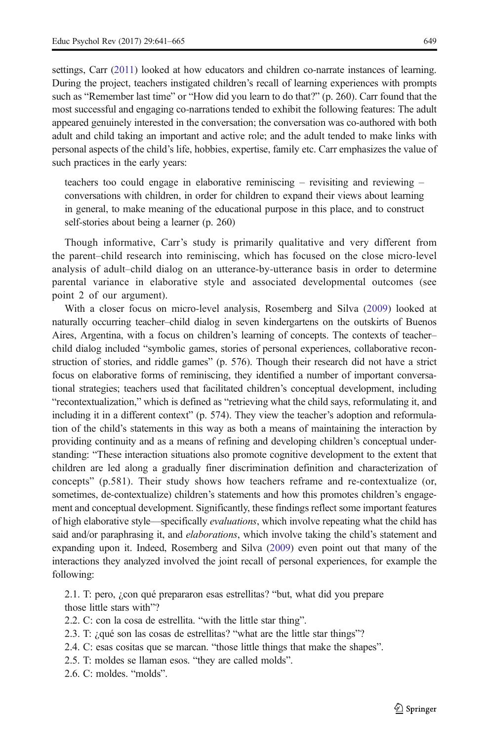settings, Carr ([2011\)](#page-21-0) looked at how educators and children co-narrate instances of learning. During the project, teachers instigated children's recall of learning experiences with prompts such as "Remember last time" or "How did you learn to do that?" (p. 260). Carr found that the most successful and engaging co-narrations tended to exhibit the following features: The adult appeared genuinely interested in the conversation; the conversation was co-authored with both adult and child taking an important and active role; and the adult tended to make links with personal aspects of the child's life, hobbies, expertise, family etc. Carr emphasizes the value of such practices in the early years:

teachers too could engage in elaborative reminiscing – revisiting and reviewing – conversations with children, in order for children to expand their views about learning in general, to make meaning of the educational purpose in this place, and to construct self-stories about being a learner (p. 260)

Though informative, Carr's study is primarily qualitative and very different from the parent–child research into reminiscing, which has focused on the close micro-level analysis of adult–child dialog on an utterance-by-utterance basis in order to determine parental variance in elaborative style and associated developmental outcomes (see point 2 of our argument).

With a closer focus on micro-level analysis, Rosemberg and Silva ([2009\)](#page-23-0) looked at naturally occurring teacher–child dialog in seven kindergartens on the outskirts of Buenos Aires, Argentina, with a focus on children's learning of concepts. The contexts of teacher– child dialog included "symbolic games, stories of personal experiences, collaborative reconstruction of stories, and riddle games" (p. 576). Though their research did not have a strict focus on elaborative forms of reminiscing, they identified a number of important conversational strategies; teachers used that facilitated children's conceptual development, including "recontextualization," which is defined as "retrieving what the child says, reformulating it, and including it in a different context" (p. 574). They view the teacher's adoption and reformulation of the child's statements in this way as both a means of maintaining the interaction by providing continuity and as a means of refining and developing children's conceptual understanding: "These interaction situations also promote cognitive development to the extent that children are led along a gradually finer discrimination definition and characterization of concepts" (p.581). Their study shows how teachers reframe and re-contextualize (or, sometimes, de-contextualize) children's statements and how this promotes children's engagement and conceptual development. Significantly, these findings reflect some important features of high elaborative style—specifically evaluations, which involve repeating what the child has said and/or paraphrasing it, and *elaborations*, which involve taking the child's statement and expanding upon it. Indeed, Rosemberg and Silva ([2009](#page-23-0)) even point out that many of the interactions they analyzed involved the joint recall of personal experiences, for example the following:

2.1. T: pero, ¿con qué prepararon esas estrellitas? "but, what did you prepare those little stars with"?

2.2. C: con la cosa de estrellita. "with the little star thing".

2.3. T: ¿qué son las cosas de estrellitas? "what are the little star things"?

2.4. C: esas cositas que se marcan. "those little things that make the shapes".

2.5. T: moldes se llaman esos. "they are called molds".

2.6. C: moldes. "molds".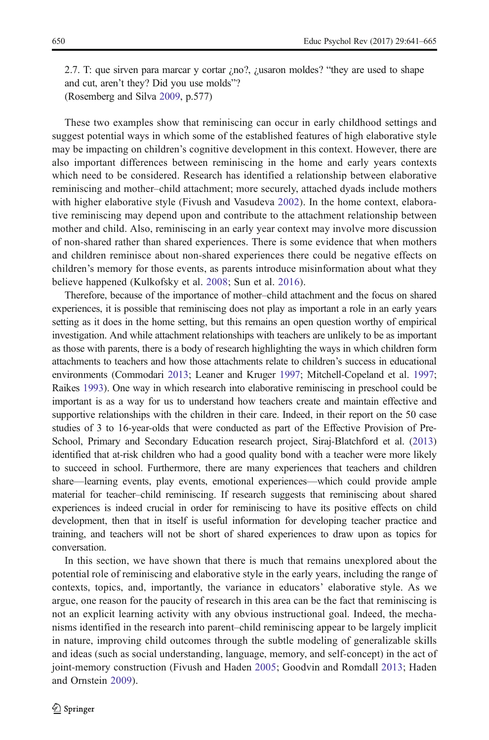2.7. T: que sirven para marcar y cortar ¿no?, ¿usaron moldes? "they are used to shape and cut, aren't they? Did you use molds"? (Rosemberg and Silva [2009,](#page-23-0) p.577)

These two examples show that reminiscing can occur in early childhood settings and suggest potential ways in which some of the established features of high elaborative style may be impacting on children's cognitive development in this context. However, there are also important differences between reminiscing in the home and early years contexts which need to be considered. Research has identified a relationship between elaborative reminiscing and mother–child attachment; more securely, attached dyads include mothers with higher elaborative style (Fivush and Vasudeva [2002](#page-21-0)). In the home context, elaborative reminiscing may depend upon and contribute to the attachment relationship between mother and child. Also, reminiscing in an early year context may involve more discussion of non-shared rather than shared experiences. There is some evidence that when mothers and children reminisce about non-shared experiences there could be negative effects on children's memory for those events, as parents introduce misinformation about what they believe happened (Kulkofsky et al. [2008;](#page-22-0) Sun et al. [2016](#page-23-0)).

Therefore, because of the importance of mother–child attachment and the focus on shared experiences, it is possible that reminiscing does not play as important a role in an early years setting as it does in the home setting, but this remains an open question worthy of empirical investigation. And while attachment relationships with teachers are unlikely to be as important as those with parents, there is a body of research highlighting the ways in which children form attachments to teachers and how those attachments relate to children's success in educational environments (Commodari [2013](#page-21-0); Leaner and Kruger [1997;](#page-22-0) Mitchell-Copeland et al. [1997](#page-22-0); Raikes [1993](#page-23-0)). One way in which research into elaborative reminiscing in preschool could be important is as a way for us to understand how teachers create and maintain effective and supportive relationships with the children in their care. Indeed, in their report on the 50 case studies of 3 to 16-year-olds that were conducted as part of the Effective Provision of Pre-School, Primary and Secondary Education research project, Siraj-Blatchford et al. [\(2013\)](#page-23-0) identified that at-risk children who had a good quality bond with a teacher were more likely to succeed in school. Furthermore, there are many experiences that teachers and children share—learning events, play events, emotional experiences—which could provide ample material for teacher–child reminiscing. If research suggests that reminiscing about shared experiences is indeed crucial in order for reminiscing to have its positive effects on child development, then that in itself is useful information for developing teacher practice and training, and teachers will not be short of shared experiences to draw upon as topics for conversation.

In this section, we have shown that there is much that remains unexplored about the potential role of reminiscing and elaborative style in the early years, including the range of contexts, topics, and, importantly, the variance in educators' elaborative style. As we argue, one reason for the paucity of research in this area can be the fact that reminiscing is not an explicit learning activity with any obvious instructional goal. Indeed, the mechanisms identified in the research into parent–child reminiscing appear to be largely implicit in nature, improving child outcomes through the subtle modeling of generalizable skills and ideas (such as social understanding, language, memory, and self-concept) in the act of joint-memory construction (Fivush and Haden [2005](#page-21-0); Goodvin and Romdall [2013](#page-21-0); Haden and Ornstein [2009\)](#page-22-0).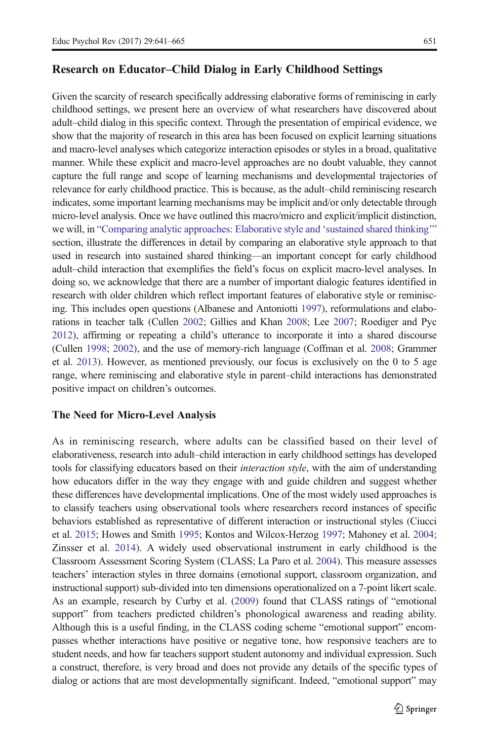### <span id="page-10-0"></span>Research on Educator–Child Dialog in Early Childhood Settings

Given the scarcity of research specifically addressing elaborative forms of reminiscing in early childhood settings, we present here an overview of what researchers have discovered about adult–child dialog in this specific context. Through the presentation of empirical evidence, we show that the majority of research in this area has been focused on explicit learning situations and macro-level analyses which categorize interaction episodes or styles in a broad, qualitative manner. While these explicit and macro-level approaches are no doubt valuable, they cannot capture the full range and scope of learning mechanisms and developmental trajectories of relevance for early childhood practice. This is because, as the adult–child reminiscing research indicates, some important learning mechanisms may be implicit and/or only detectable through micro-level analysis. Once we have outlined this macro/micro and explicit/implicit distinction, we will, in "[Comparing analytic approaches: Elaborative style and](#page-14-0) 'sustained shared thinking'" section, illustrate the differences in detail by comparing an elaborative style approach to that used in research into sustained shared thinking—an important concept for early childhood adult–child interaction that exemplifies the field's focus on explicit macro-level analyses. In doing so, we acknowledge that there are a number of important dialogic features identified in research with older children which reflect important features of elaborative style or reminiscing. This includes open questions (Albanese and Antoniotti [1997](#page-20-0)), reformulations and elaborations in teacher talk (Cullen [2002;](#page-21-0) Gillies and Khan [2008](#page-21-0); Lee [2007](#page-22-0); Roediger and Pyc [2012](#page-23-0)), affirming or repeating a child's utterance to incorporate it into a shared discourse (Cullen [1998;](#page-21-0) [2002](#page-21-0)), and the use of memory-rich language (Coffman et al. [2008;](#page-21-0) Grammer et al. [2013](#page-21-0)). However, as mentioned previously, our focus is exclusively on the 0 to 5 age range, where reminiscing and elaborative style in parent–child interactions has demonstrated positive impact on children's outcomes.

#### The Need for Micro-Level Analysis

As in reminiscing research, where adults can be classified based on their level of elaborativeness, research into adult–child interaction in early childhood settings has developed tools for classifying educators based on their *interaction style*, with the aim of understanding how educators differ in the way they engage with and guide children and suggest whether these differences have developmental implications. One of the most widely used approaches is to classify teachers using observational tools where researchers record instances of specific behaviors established as representative of different interaction or instructional styles (Ciucci et al. [2015](#page-21-0); Howes and Smith [1995](#page-22-0); Kontos and Wilcox-Herzog [1997;](#page-22-0) Mahoney et al. [2004](#page-22-0); Zinsser et al. [2014](#page-24-0)). A widely used observational instrument in early childhood is the Classroom Assessment Scoring System (CLASS; La Paro et al. [2004\)](#page-22-0). This measure assesses teachers' interaction styles in three domains (emotional support, classroom organization, and instructional support) sub-divided into ten dimensions operationalized on a 7-point likert scale. As an example, research by Curby et al. ([2009](#page-21-0)) found that CLASS ratings of "emotional support" from teachers predicted children's phonological awareness and reading ability. Although this is a useful finding, in the CLASS coding scheme "emotional support" encompasses whether interactions have positive or negative tone, how responsive teachers are to student needs, and how far teachers support student autonomy and individual expression. Such a construct, therefore, is very broad and does not provide any details of the specific types of dialog or actions that are most developmentally significant. Indeed, "emotional support" may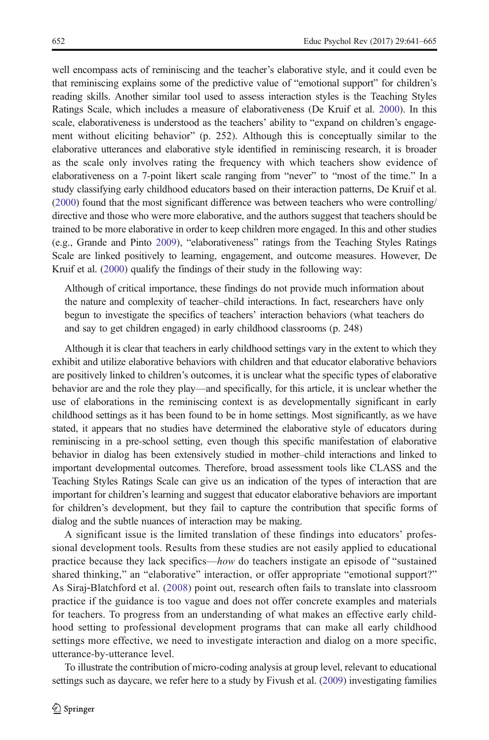well encompass acts of reminiscing and the teacher's elaborative style, and it could even be that reminiscing explains some of the predictive value of "emotional support" for children's reading skills. Another similar tool used to assess interaction styles is the Teaching Styles Ratings Scale, which includes a measure of elaborativeness (De Kruif et al. [2000](#page-21-0)). In this scale, elaborativeness is understood as the teachers' ability to "expand on children's engagement without eliciting behavior" (p. 252). Although this is conceptually similar to the elaborative utterances and elaborative style identified in reminiscing research, it is broader as the scale only involves rating the frequency with which teachers show evidence of elaborativeness on a 7-point likert scale ranging from "never" to "most of the time." In a study classifying early childhood educators based on their interaction patterns, De Kruif et al. ([2000](#page-21-0)) found that the most significant difference was between teachers who were controlling/ directive and those who were more elaborative, and the authors suggest that teachers should be trained to be more elaborative in order to keep children more engaged. In this and other studies (e.g., Grande and Pinto [2009\)](#page-22-0), "elaborativeness" ratings from the Teaching Styles Ratings Scale are linked positively to learning, engagement, and outcome measures. However, De Kruif et al. [\(2000\)](#page-21-0) qualify the findings of their study in the following way:

Although of critical importance, these findings do not provide much information about the nature and complexity of teacher–child interactions. In fact, researchers have only begun to investigate the specifics of teachers' interaction behaviors (what teachers do and say to get children engaged) in early childhood classrooms (p. 248)

Although it is clear that teachers in early childhood settings vary in the extent to which they exhibit and utilize elaborative behaviors with children and that educator elaborative behaviors are positively linked to children's outcomes, it is unclear what the specific types of elaborative behavior are and the role they play—and specifically, for this article, it is unclear whether the use of elaborations in the reminiscing context is as developmentally significant in early childhood settings as it has been found to be in home settings. Most significantly, as we have stated, it appears that no studies have determined the elaborative style of educators during reminiscing in a pre-school setting, even though this specific manifestation of elaborative behavior in dialog has been extensively studied in mother–child interactions and linked to important developmental outcomes. Therefore, broad assessment tools like CLASS and the Teaching Styles Ratings Scale can give us an indication of the types of interaction that are important for children's learning and suggest that educator elaborative behaviors are important for children's development, but they fail to capture the contribution that specific forms of dialog and the subtle nuances of interaction may be making.

A significant issue is the limited translation of these findings into educators' professional development tools. Results from these studies are not easily applied to educational practice because they lack specifics—how do teachers instigate an episode of "sustained shared thinking," an "elaborative" interaction, or offer appropriate "emotional support?" As Siraj‐Blatchford et al. ([2008](#page-23-0)) point out, research often fails to translate into classroom practice if the guidance is too vague and does not offer concrete examples and materials for teachers. To progress from an understanding of what makes an effective early childhood setting to professional development programs that can make all early childhood settings more effective, we need to investigate interaction and dialog on a more specific, utterance-by-utterance level.

To illustrate the contribution of micro-coding analysis at group level, relevant to educational settings such as daycare, we refer here to a study by Fivush et al. [\(2009\)](#page-21-0) investigating families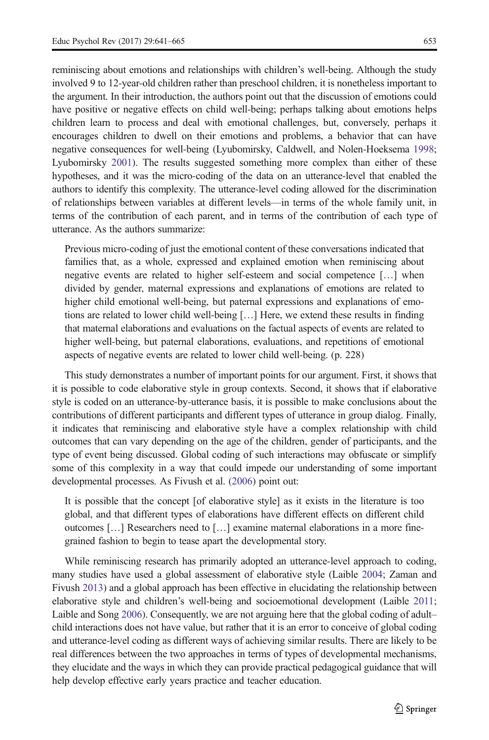reminiscing about emotions and relationships with children's well-being. Although the study involved 9 to 12-year-old children rather than preschool children, it is nonetheless important to the argument. In their introduction, the authors point out that the discussion of emotions could have positive or negative effects on child well-being; perhaps talking about emotions helps children learn to process and deal with emotional challenges, but, conversely, perhaps it encourages children to dwell on their emotions and problems, a behavior that can have negative consequences for well-being (Lyubomirsky, Caldwell, and Nolen-Hoeksema [1998](#page-22-0); Lyubomirsky [2001\)](#page-22-0). The results suggested something more complex than either of these hypotheses, and it was the micro-coding of the data on an utterance-level that enabled the authors to identify this complexity. The utterance-level coding allowed for the discrimination of relationships between variables at different levels—in terms of the whole family unit, in terms of the contribution of each parent, and in terms of the contribution of each type of utterance. As the authors summarize:

Previous micro-coding of just the emotional content of these conversations indicated that families that, as a whole, expressed and explained emotion when reminiscing about negative events are related to higher self-esteem and social competence […] when divided by gender, maternal expressions and explanations of emotions are related to higher child emotional well-being, but paternal expressions and explanations of emotions are related to lower child well-being […] Here, we extend these results in finding that maternal elaborations and evaluations on the factual aspects of events are related to higher well-being, but paternal elaborations, evaluations, and repetitions of emotional aspects of negative events are related to lower child well-being. (p. 228)

This study demonstrates a number of important points for our argument. First, it shows that it is possible to code elaborative style in group contexts. Second, it shows that if elaborative style is coded on an utterance-by-utterance basis, it is possible to make conclusions about the contributions of different participants and different types of utterance in group dialog. Finally, it indicates that reminiscing and elaborative style have a complex relationship with child outcomes that can vary depending on the age of the children, gender of participants, and the type of event being discussed. Global coding of such interactions may obfuscate or simplify some of this complexity in a way that could impede our understanding of some important developmental processes. As Fivush et al. [\(2006\)](#page-21-0) point out:

It is possible that the concept [of elaborative style] as it exists in the literature is too global, and that different types of elaborations have different effects on different child outcomes […] Researchers need to […] examine maternal elaborations in a more finegrained fashion to begin to tease apart the developmental story.

While reminiscing research has primarily adopted an utterance-level approach to coding, many studies have used a global assessment of elaborative style (Laible [2004;](#page-22-0) Zaman and Fivush [2013\)](#page-24-0) and a global approach has been effective in elucidating the relationship between elaborative style and children's well-being and socioemotional development (Laible [2011](#page-22-0); Laible and Song [2006\)](#page-22-0). Consequently, we are not arguing here that the global coding of adult– child interactions does not have value, but rather that it is an error to conceive of global coding and utterance-level coding as different ways of achieving similar results. There are likely to be real differences between the two approaches in terms of types of developmental mechanisms, they elucidate and the ways in which they can provide practical pedagogical guidance that will help develop effective early years practice and teacher education.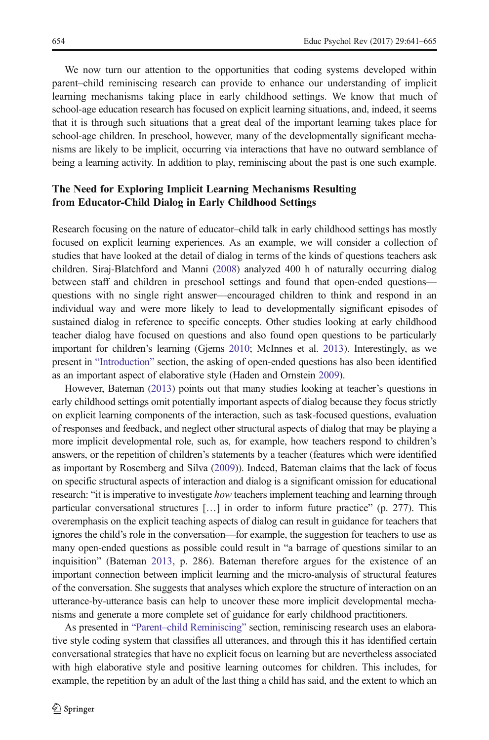We now turn our attention to the opportunities that coding systems developed within parent–child reminiscing research can provide to enhance our understanding of implicit learning mechanisms taking place in early childhood settings. We know that much of school-age education research has focused on explicit learning situations, and, indeed, it seems that it is through such situations that a great deal of the important learning takes place for school-age children. In preschool, however, many of the developmentally significant mechanisms are likely to be implicit, occurring via interactions that have no outward semblance of being a learning activity. In addition to play, reminiscing about the past is one such example.

### The Need for Exploring Implicit Learning Mechanisms Resulting from Educator-Child Dialog in Early Childhood Settings

Research focusing on the nature of educator–child talk in early childhood settings has mostly focused on explicit learning experiences. As an example, we will consider a collection of studies that have looked at the detail of dialog in terms of the kinds of questions teachers ask children. Siraj-Blatchford and Manni [\(2008\)](#page-23-0) analyzed 400 h of naturally occurring dialog between staff and children in preschool settings and found that open-ended questions questions with no single right answer—encouraged children to think and respond in an individual way and were more likely to lead to developmentally significant episodes of sustained dialog in reference to specific concepts. Other studies looking at early childhood teacher dialog have focused on questions and also found open questions to be particularly important for children's learning (Gjems [2010](#page-21-0); McInnes et al. [2013](#page-22-0)). Interestingly, as we present in "[Introduction](#page-0-0)" section, the asking of open-ended questions has also been identified as an important aspect of elaborative style (Haden and Ornstein [2009](#page-22-0)).

However, Bateman [\(2013](#page-21-0)) points out that many studies looking at teacher's questions in early childhood settings omit potentially important aspects of dialog because they focus strictly on explicit learning components of the interaction, such as task-focused questions, evaluation of responses and feedback, and neglect other structural aspects of dialog that may be playing a more implicit developmental role, such as, for example, how teachers respond to children's answers, or the repetition of children's statements by a teacher (features which were identified as important by Rosemberg and Silva ([2009](#page-23-0))). Indeed, Bateman claims that the lack of focus on specific structural aspects of interaction and dialog is a significant omission for educational research: "it is imperative to investigate how teachers implement teaching and learning through particular conversational structures […] in order to inform future practice" (p. 277). This overemphasis on the explicit teaching aspects of dialog can result in guidance for teachers that ignores the child's role in the conversation—for example, the suggestion for teachers to use as many open-ended questions as possible could result in "a barrage of questions similar to an inquisition" (Bateman [2013](#page-21-0), p. 286). Bateman therefore argues for the existence of an important connection between implicit learning and the micro-analysis of structural features of the conversation. She suggests that analyses which explore the structure of interaction on an utterance-by-utterance basis can help to uncover these more implicit developmental mechanisms and generate a more complete set of guidance for early childhood practitioners.

As presented in "Parent–[child Reminiscing](#page-3-0)" section, reminiscing research uses an elaborative style coding system that classifies all utterances, and through this it has identified certain conversational strategies that have no explicit focus on learning but are nevertheless associated with high elaborative style and positive learning outcomes for children. This includes, for example, the repetition by an adult of the last thing a child has said, and the extent to which an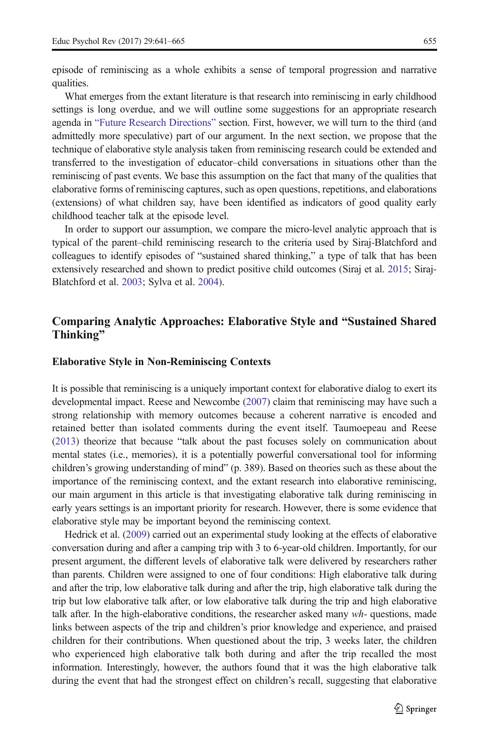<span id="page-14-0"></span>What emerges from the extant literature is that research into reminiscing in early childhood settings is long overdue, and we will outline some suggestions for an appropriate research agenda in "[Future Research Directions](#page-18-0)" section. First, however, we will turn to the third (and admittedly more speculative) part of our argument. In the next section, we propose that the technique of elaborative style analysis taken from reminiscing research could be extended and transferred to the investigation of educator–child conversations in situations other than the reminiscing of past events. We base this assumption on the fact that many of the qualities that elaborative forms of reminiscing captures, such as open questions, repetitions, and elaborations (extensions) of what children say, have been identified as indicators of good quality early childhood teacher talk at the episode level.

In order to support our assumption, we compare the micro-level analytic approach that is typical of the parent–child reminiscing research to the criteria used by Siraj-Blatchford and colleagues to identify episodes of "sustained shared thinking," a type of talk that has been extensively researched and shown to predict positive child outcomes (Siraj et al. [2015](#page-23-0); Siraj-Blatchford et al. [2003](#page-23-0); Sylva et al. [2004\)](#page-23-0).

### Comparing Analytic Approaches: Elaborative Style and "Sustained Shared Thinking"

#### Elaborative Style in Non-Reminiscing Contexts

It is possible that reminiscing is a uniquely important context for elaborative dialog to exert its developmental impact. Reese and Newcombe [\(2007\)](#page-23-0) claim that reminiscing may have such a strong relationship with memory outcomes because a coherent narrative is encoded and retained better than isolated comments during the event itself. Taumoepeau and Reese ([2013](#page-23-0)) theorize that because "talk about the past focuses solely on communication about mental states (i.e., memories), it is a potentially powerful conversational tool for informing children's growing understanding of mind" (p. 389). Based on theories such as these about the importance of the reminiscing context, and the extant research into elaborative reminiscing, our main argument in this article is that investigating elaborative talk during reminiscing in early years settings is an important priority for research. However, there is some evidence that elaborative style may be important beyond the reminiscing context.

Hedrick et al. [\(2009\)](#page-22-0) carried out an experimental study looking at the effects of elaborative conversation during and after a camping trip with 3 to 6-year-old children. Importantly, for our present argument, the different levels of elaborative talk were delivered by researchers rather than parents. Children were assigned to one of four conditions: High elaborative talk during and after the trip, low elaborative talk during and after the trip, high elaborative talk during the trip but low elaborative talk after, or low elaborative talk during the trip and high elaborative talk after. In the high-elaborative conditions, the researcher asked many wh- questions, made links between aspects of the trip and children's prior knowledge and experience, and praised children for their contributions. When questioned about the trip, 3 weeks later, the children who experienced high elaborative talk both during and after the trip recalled the most information. Interestingly, however, the authors found that it was the high elaborative talk during the event that had the strongest effect on children's recall, suggesting that elaborative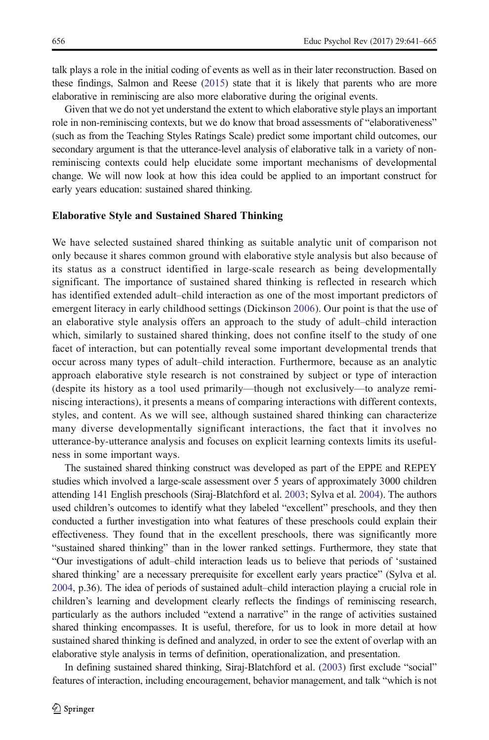talk plays a role in the initial coding of events as well as in their later reconstruction. Based on these findings, Salmon and Reese ([2015](#page-23-0)) state that it is likely that parents who are more elaborative in reminiscing are also more elaborative during the original events.

Given that we do not yet understand the extent to which elaborative style plays an important role in non-reminiscing contexts, but we do know that broad assessments of "elaborativeness" (such as from the Teaching Styles Ratings Scale) predict some important child outcomes, our secondary argument is that the utterance-level analysis of elaborative talk in a variety of nonreminiscing contexts could help elucidate some important mechanisms of developmental change. We will now look at how this idea could be applied to an important construct for early years education: sustained shared thinking.

#### Elaborative Style and Sustained Shared Thinking

We have selected sustained shared thinking as suitable analytic unit of comparison not only because it shares common ground with elaborative style analysis but also because of its status as a construct identified in large-scale research as being developmentally significant. The importance of sustained shared thinking is reflected in research which has identified extended adult–child interaction as one of the most important predictors of emergent literacy in early childhood settings (Dickinson [2006](#page-21-0)). Our point is that the use of an elaborative style analysis offers an approach to the study of adult–child interaction which, similarly to sustained shared thinking, does not confine itself to the study of one facet of interaction, but can potentially reveal some important developmental trends that occur across many types of adult–child interaction. Furthermore, because as an analytic approach elaborative style research is not constrained by subject or type of interaction (despite its history as a tool used primarily—though not exclusively—to analyze reminiscing interactions), it presents a means of comparing interactions with different contexts, styles, and content. As we will see, although sustained shared thinking can characterize many diverse developmentally significant interactions, the fact that it involves no utterance-by-utterance analysis and focuses on explicit learning contexts limits its usefulness in some important ways.

The sustained shared thinking construct was developed as part of the EPPE and REPEY studies which involved a large-scale assessment over 5 years of approximately 3000 children attending 141 English preschools (Siraj-Blatchford et al. [2003](#page-23-0); Sylva et al. [2004](#page-23-0)). The authors used children's outcomes to identify what they labeled "excellent" preschools, and they then conducted a further investigation into what features of these preschools could explain their effectiveness. They found that in the excellent preschools, there was significantly more "sustained shared thinking" than in the lower ranked settings. Furthermore, they state that "Our investigations of adult–child interaction leads us to believe that periods of 'sustained shared thinking' are a necessary prerequisite for excellent early years practice" (Sylva et al. [2004](#page-23-0), p.36). The idea of periods of sustained adult–child interaction playing a crucial role in children's learning and development clearly reflects the findings of reminiscing research, particularly as the authors included "extend a narrative" in the range of activities sustained shared thinking encompasses. It is useful, therefore, for us to look in more detail at how sustained shared thinking is defined and analyzed, in order to see the extent of overlap with an elaborative style analysis in terms of definition, operationalization, and presentation.

In defining sustained shared thinking, Siraj-Blatchford et al. [\(2003\)](#page-23-0) first exclude "social" features of interaction, including encouragement, behavior management, and talk "which is not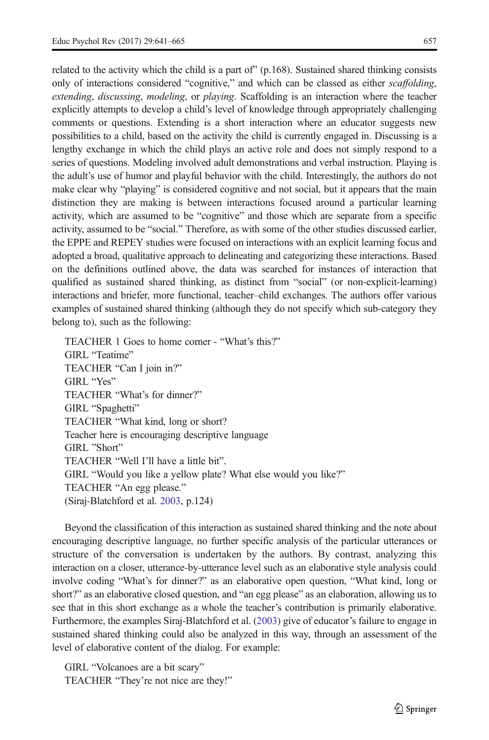related to the activity which the child is a part of  $(p.168)$ . Sustained shared thinking consists only of interactions considered "cognitive," and which can be classed as either scaffolding, extending, discussing, modeling, or playing. Scaffolding is an interaction where the teacher explicitly attempts to develop a child's level of knowledge through appropriately challenging comments or questions. Extending is a short interaction where an educator suggests new possibilities to a child, based on the activity the child is currently engaged in. Discussing is a lengthy exchange in which the child plays an active role and does not simply respond to a series of questions. Modeling involved adult demonstrations and verbal instruction. Playing is the adult's use of humor and playful behavior with the child. Interestingly, the authors do not make clear why "playing" is considered cognitive and not social, but it appears that the main distinction they are making is between interactions focused around a particular learning activity, which are assumed to be "cognitive" and those which are separate from a specific activity, assumed to be "social." Therefore, as with some of the other studies discussed earlier, the EPPE and REPEY studies were focused on interactions with an explicit learning focus and adopted a broad, qualitative approach to delineating and categorizing these interactions. Based on the definitions outlined above, the data was searched for instances of interaction that qualified as sustained shared thinking, as distinct from "social" (or non-explicit-learning) interactions and briefer, more functional, teacher–child exchanges. The authors offer various examples of sustained shared thinking (although they do not specify which sub-category they belong to), such as the following:

TEACHER 1 Goes to home corner - "What's this?" GIRL "Teatime" TEACHER "Can I join in?" GIRL "Yes" TEACHER "What's for dinner?" GIRL "Spaghetti" TEACHER "What kind, long or short? Teacher here is encouraging descriptive language GIRL "Short" TEACHER "Well I'll have a little bit". GIRL "Would you like a yellow plate? What else would you like?" TEACHER "An egg please." (Siraj-Blatchford et al. [2003](#page-23-0), p.124)

Beyond the classification of this interaction as sustained shared thinking and the note about encouraging descriptive language, no further specific analysis of the particular utterances or structure of the conversation is undertaken by the authors. By contrast, analyzing this interaction on a closer, utterance-by-utterance level such as an elaborative style analysis could involve coding "What's for dinner?" as an elaborative open question, "What kind, long or short?" as an elaborative closed question, and "an egg please" as an elaboration, allowing us to see that in this short exchange as a whole the teacher's contribution is primarily elaborative. Furthermore, the examples Siraj-Blatchford et al. ([2003](#page-23-0)) give of educator's failure to engage in sustained shared thinking could also be analyzed in this way, through an assessment of the level of elaborative content of the dialog. For example:

GIRL "Volcanoes are a bit scary" TEACHER "They're not nice are they!"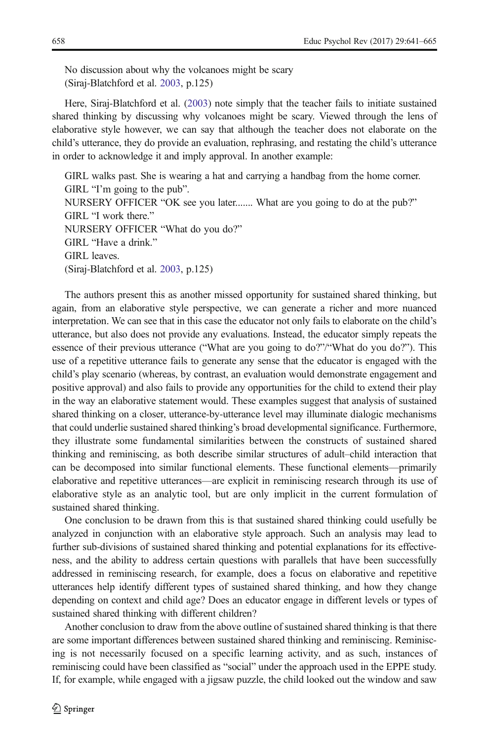No discussion about why the volcanoes might be scary (Siraj-Blatchford et al. [2003](#page-23-0), p.125)

Here, Siraj-Blatchford et al. [\(2003\)](#page-23-0) note simply that the teacher fails to initiate sustained shared thinking by discussing why volcanoes might be scary. Viewed through the lens of elaborative style however, we can say that although the teacher does not elaborate on the child's utterance, they do provide an evaluation, rephrasing, and restating the child's utterance in order to acknowledge it and imply approval. In another example:

GIRL walks past. She is wearing a hat and carrying a handbag from the home corner. GIRL "I'm going to the pub". NURSERY OFFICER "OK see you later....... What are you going to do at the pub?" GIRL "I work there." NURSERY OFFICER "What do you do?" GIRL "Have a drink." GIRL leaves. (Siraj-Blatchford et al. [2003](#page-23-0), p.125)

The authors present this as another missed opportunity for sustained shared thinking, but again, from an elaborative style perspective, we can generate a richer and more nuanced interpretation. We can see that in this case the educator not only fails to elaborate on the child's utterance, but also does not provide any evaluations. Instead, the educator simply repeats the essence of their previous utterance ("What are you going to do?"/"What do you do?"). This use of a repetitive utterance fails to generate any sense that the educator is engaged with the child's play scenario (whereas, by contrast, an evaluation would demonstrate engagement and positive approval) and also fails to provide any opportunities for the child to extend their play in the way an elaborative statement would. These examples suggest that analysis of sustained shared thinking on a closer, utterance-by-utterance level may illuminate dialogic mechanisms that could underlie sustained shared thinking's broad developmental significance. Furthermore, they illustrate some fundamental similarities between the constructs of sustained shared thinking and reminiscing, as both describe similar structures of adult–child interaction that can be decomposed into similar functional elements. These functional elements—primarily elaborative and repetitive utterances—are explicit in reminiscing research through its use of elaborative style as an analytic tool, but are only implicit in the current formulation of sustained shared thinking.

One conclusion to be drawn from this is that sustained shared thinking could usefully be analyzed in conjunction with an elaborative style approach. Such an analysis may lead to further sub-divisions of sustained shared thinking and potential explanations for its effectiveness, and the ability to address certain questions with parallels that have been successfully addressed in reminiscing research, for example, does a focus on elaborative and repetitive utterances help identify different types of sustained shared thinking, and how they change depending on context and child age? Does an educator engage in different levels or types of sustained shared thinking with different children?

Another conclusion to draw from the above outline of sustained shared thinking is that there are some important differences between sustained shared thinking and reminiscing. Reminiscing is not necessarily focused on a specific learning activity, and as such, instances of reminiscing could have been classified as "social" under the approach used in the EPPE study. If, for example, while engaged with a jigsaw puzzle, the child looked out the window and saw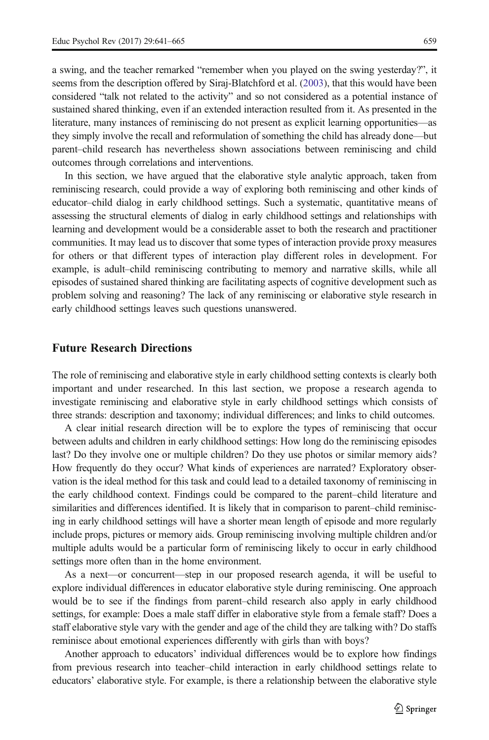<span id="page-18-0"></span>a swing, and the teacher remarked "remember when you played on the swing yesterday?", it seems from the description offered by Siraj-Blatchford et al. [\(2003\)](#page-23-0), that this would have been considered "talk not related to the activity" and so not considered as a potential instance of sustained shared thinking, even if an extended interaction resulted from it. As presented in the literature, many instances of reminiscing do not present as explicit learning opportunities—as they simply involve the recall and reformulation of something the child has already done—but parent–child research has nevertheless shown associations between reminiscing and child outcomes through correlations and interventions.

In this section, we have argued that the elaborative style analytic approach, taken from reminiscing research, could provide a way of exploring both reminiscing and other kinds of educator–child dialog in early childhood settings. Such a systematic, quantitative means of assessing the structural elements of dialog in early childhood settings and relationships with learning and development would be a considerable asset to both the research and practitioner communities. It may lead us to discover that some types of interaction provide proxy measures for others or that different types of interaction play different roles in development. For example, is adult–child reminiscing contributing to memory and narrative skills, while all episodes of sustained shared thinking are facilitating aspects of cognitive development such as problem solving and reasoning? The lack of any reminiscing or elaborative style research in early childhood settings leaves such questions unanswered.

#### Future Research Directions

The role of reminiscing and elaborative style in early childhood setting contexts is clearly both important and under researched. In this last section, we propose a research agenda to investigate reminiscing and elaborative style in early childhood settings which consists of three strands: description and taxonomy; individual differences; and links to child outcomes.

A clear initial research direction will be to explore the types of reminiscing that occur between adults and children in early childhood settings: How long do the reminiscing episodes last? Do they involve one or multiple children? Do they use photos or similar memory aids? How frequently do they occur? What kinds of experiences are narrated? Exploratory observation is the ideal method for this task and could lead to a detailed taxonomy of reminiscing in the early childhood context. Findings could be compared to the parent–child literature and similarities and differences identified. It is likely that in comparison to parent–child reminiscing in early childhood settings will have a shorter mean length of episode and more regularly include props, pictures or memory aids. Group reminiscing involving multiple children and/or multiple adults would be a particular form of reminiscing likely to occur in early childhood settings more often than in the home environment.

As a next—or concurrent—step in our proposed research agenda, it will be useful to explore individual differences in educator elaborative style during reminiscing. One approach would be to see if the findings from parent–child research also apply in early childhood settings, for example: Does a male staff differ in elaborative style from a female staff? Does a staff elaborative style vary with the gender and age of the child they are talking with? Do staffs reminisce about emotional experiences differently with girls than with boys?

Another approach to educators' individual differences would be to explore how findings from previous research into teacher–child interaction in early childhood settings relate to educators' elaborative style. For example, is there a relationship between the elaborative style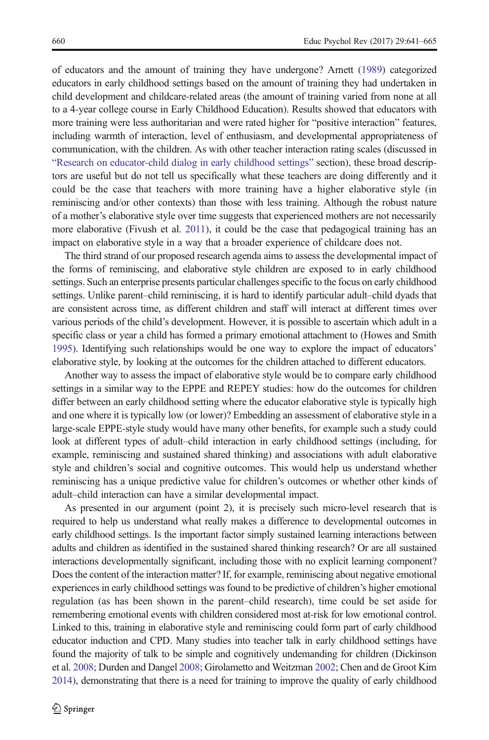of educators and the amount of training they have undergone? Arnett ([1989](#page-20-0)) categorized educators in early childhood settings based on the amount of training they had undertaken in child development and childcare-related areas (the amount of training varied from none at all to a 4-year college course in Early Childhood Education). Results showed that educators with more training were less authoritarian and were rated higher for "positive interaction" features, including warmth of interaction, level of enthusiasm, and developmental appropriateness of communication, with the children. As with other teacher interaction rating scales (discussed in "[Research on educator-child dialog in early childhood settings](#page-10-0)" section), these broad descriptors are useful but do not tell us specifically what these teachers are doing differently and it could be the case that teachers with more training have a higher elaborative style (in reminiscing and/or other contexts) than those with less training. Although the robust nature of a mother's elaborative style over time suggests that experienced mothers are not necessarily more elaborative (Fivush et al. [2011\)](#page-21-0), it could be the case that pedagogical training has an impact on elaborative style in a way that a broader experience of childcare does not.

The third strand of our proposed research agenda aims to assess the developmental impact of the forms of reminiscing, and elaborative style children are exposed to in early childhood settings. Such an enterprise presents particular challenges specific to the focus on early childhood settings. Unlike parent–child reminiscing, it is hard to identify particular adult–child dyads that are consistent across time, as different children and staff will interact at different times over various periods of the child's development. However, it is possible to ascertain which adult in a specific class or year a child has formed a primary emotional attachment to (Howes and Smith [1995](#page-22-0)). Identifying such relationships would be one way to explore the impact of educators' elaborative style, by looking at the outcomes for the children attached to different educators.

Another way to assess the impact of elaborative style would be to compare early childhood settings in a similar way to the EPPE and REPEY studies: how do the outcomes for children differ between an early childhood setting where the educator elaborative style is typically high and one where it is typically low (or lower)? Embedding an assessment of elaborative style in a large-scale EPPE-style study would have many other benefits, for example such a study could look at different types of adult–child interaction in early childhood settings (including, for example, reminiscing and sustained shared thinking) and associations with adult elaborative style and children's social and cognitive outcomes. This would help us understand whether reminiscing has a unique predictive value for children's outcomes or whether other kinds of adult–child interaction can have a similar developmental impact.

As presented in our argument (point 2), it is precisely such micro-level research that is required to help us understand what really makes a difference to developmental outcomes in early childhood settings. Is the important factor simply sustained learning interactions between adults and children as identified in the sustained shared thinking research? Or are all sustained interactions developmentally significant, including those with no explicit learning component? Does the content of the interaction matter? If, for example, reminiscing about negative emotional experiences in early childhood settings was found to be predictive of children's higher emotional regulation (as has been shown in the parent–child research), time could be set aside for remembering emotional events with children considered most at-risk for low emotional control. Linked to this, training in elaborative style and reminiscing could form part of early childhood educator induction and CPD. Many studies into teacher talk in early childhood settings have found the majority of talk to be simple and cognitively undemanding for children (Dickinson et al. [2008](#page-21-0); Durden and Dangel [2008;](#page-21-0) Girolametto and Weitzman [2002;](#page-21-0) Chen and de Groot Kim [2014](#page-21-0)), demonstrating that there is a need for training to improve the quality of early childhood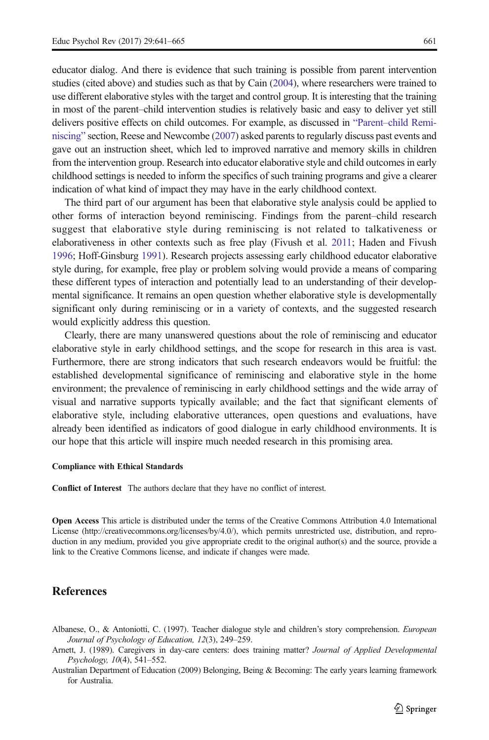<span id="page-20-0"></span>educator dialog. And there is evidence that such training is possible from parent intervention studies (cited above) and studies such as that by Cain [\(2004\)](#page-21-0), where researchers were trained to use different elaborative styles with the target and control group. It is interesting that the training in most of the parent–child intervention studies is relatively basic and easy to deliver yet still delivers positive effects on child outcomes. For example, as discussed in "Parent–[child Remi](#page-3-0)[niscing](#page-3-0)" section, Reese and Newcombe [\(2007\)](#page-23-0) asked parents to regularly discuss past events and gave out an instruction sheet, which led to improved narrative and memory skills in children from the intervention group. Research into educator elaborative style and child outcomes in early childhood settings is needed to inform the specifics of such training programs and give a clearer indication of what kind of impact they may have in the early childhood context.

The third part of our argument has been that elaborative style analysis could be applied to other forms of interaction beyond reminiscing. Findings from the parent–child research suggest that elaborative style during reminiscing is not related to talkativeness or elaborativeness in other contexts such as free play (Fivush et al. [2011](#page-21-0); Haden and Fivush [1996](#page-22-0); Hoff-Ginsburg [1991\)](#page-22-0). Research projects assessing early childhood educator elaborative style during, for example, free play or problem solving would provide a means of comparing these different types of interaction and potentially lead to an understanding of their developmental significance. It remains an open question whether elaborative style is developmentally significant only during reminiscing or in a variety of contexts, and the suggested research would explicitly address this question.

Clearly, there are many unanswered questions about the role of reminiscing and educator elaborative style in early childhood settings, and the scope for research in this area is vast. Furthermore, there are strong indicators that such research endeavors would be fruitful: the established developmental significance of reminiscing and elaborative style in the home environment; the prevalence of reminiscing in early childhood settings and the wide array of visual and narrative supports typically available; and the fact that significant elements of elaborative style, including elaborative utterances, open questions and evaluations, have already been identified as indicators of good dialogue in early childhood environments. It is our hope that this article will inspire much needed research in this promising area.

#### Compliance with Ethical Standards

Conflict of Interest The authors declare that they have no conflict of interest.

Open Access This article is distributed under the terms of the Creative Commons Attribution 4.0 International License (http://creativecommons.org/licenses/by/4.0/), which permits unrestricted use, distribution, and reproduction in any medium, provided you give appropriate credit to the original author(s) and the source, provide a link to the Creative Commons license, and indicate if changes were made.

### References

- Albanese, O., & Antoniotti, C. (1997). Teacher dialogue style and children's story comprehension. European Journal of Psychology of Education, 12(3), 249–259.
- Arnett, J. (1989). Caregivers in day-care centers: does training matter? Journal of Applied Developmental Psychology, 10(4), 541–552.
- Australian Department of Education (2009) Belonging, Being & Becoming: The early years learning framework for Australia.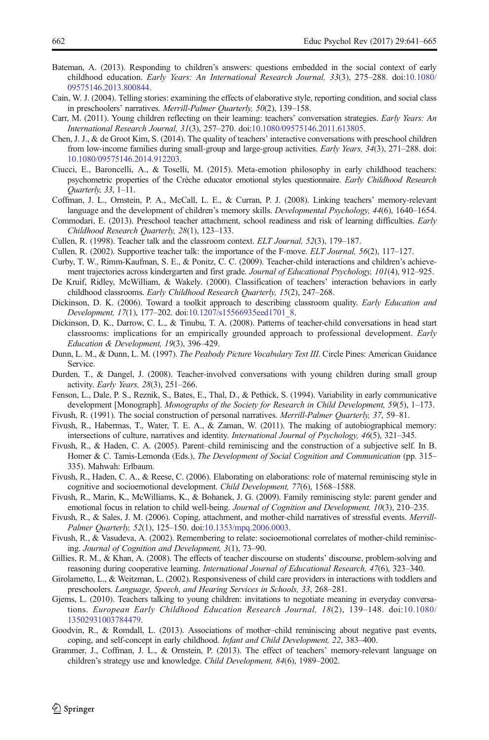- <span id="page-21-0"></span>Bateman, A. (2013). Responding to children's answers: questions embedded in the social context of early childhood education. Early Years: An International Research Journal, 33(3), 275–288. doi:[10.1080/](http://dx.doi.org/10.1080/09575146.2013.800844) [09575146.2013.800844](http://dx.doi.org/10.1080/09575146.2013.800844).
- Cain, W. J. (2004). Telling stories: examining the effects of elaborative style, reporting condition, and social class in preschoolers' narratives. Merrill-Palmer Quarterly, 50(2), 139–158.
- Carr, M. (2011). Young children reflecting on their learning: teachers' conversation strategies. *Early Years: An* International Research Journal, 31(3), 257–270. doi[:10.1080/09575146.2011.613805.](http://dx.doi.org/10.1080/09575146.2011.613805)
- Chen, J. J., & de Groot Kim, S. (2014). The quality of teachers' interactive conversations with preschool children from low-income families during small-group and large-group activities. Early Years, 34(3), 271–288. doi: [10.1080/09575146.2014.912203](http://dx.doi.org/10.1080/09575146.2014.912203).
- Ciucci, E., Baroncelli, A., & Toselli, M. (2015). Meta-emotion philosophy in early childhood teachers: psychometric properties of the Crèche educator emotional styles questionnaire. Early Childhood Research Quarterly, 33, 1–11.
- Coffman, J. L., Ornstein, P. A., McCall, L. E., & Curran, P. J. (2008). Linking teachers' memory-relevant language and the development of children's memory skills. Developmental Psychology, 44(6), 1640–1654.
- Commodari, E. (2013). Preschool teacher attachment, school readiness and risk of learning difficulties. Early Childhood Research Quarterly, 28(1), 123–133.
- Cullen, R. (1998). Teacher talk and the classroom context. ELT Journal, 52(3), 179–187.
- Cullen, R. (2002). Supportive teacher talk: the importance of the F-move. ELT Journal, 56(2), 117–127.
- Curby, T. W., Rimm-Kaufman, S. E., & Ponitz, C. C. (2009). Teacher-child interactions and children's achievement trajectories across kindergarten and first grade. Journal of Educational Psychology, 101(4), 912–925.
- De Kruif, Ridley, McWilliam, & Wakely. (2000). Classification of teachers' interaction behaviors in early childhood classrooms. Early Childhood Research Quarterly, 15(2), 247–268.
- Dickinson, D. K. (2006). Toward a toolkit approach to describing classroom quality. *Early Education and* Development, 17(1), 177–202. doi:[10.1207/s15566935eed1701\\_8.](http://dx.doi.org/10.1207/s15566935eed1701_8)
- Dickinson, D. K., Darrow, C. L., & Tinubu, T. A. (2008). Patterns of teacher-child conversations in head start classrooms: implications for an empirically grounded approach to professional development. Early Education & Development, 19(3), 396–429.
- Dunn, L. M., & Dunn, L. M. (1997). The Peabody Picture Vocabulary Test III. Circle Pines: American Guidance Service.
- Durden, T., & Dangel, J. (2008). Teacher-involved conversations with young children during small group activity. Early Years, 28(3), 251–266.
- Fenson, L., Dale, P. S., Reznik, S., Bates, E., Thal, D., & Pethick, S. (1994). Variability in early communicative development [Monograph]. Monographs of the Society for Research in Child Development, 59(5), 1–173.
- Fivush, R. (1991). The social construction of personal narratives. Merrill-Palmer Quarterly, 37, 59–81.
- Fivush, R., Habermas, T., Water, T. E. A., & Zaman, W. (2011). The making of autobiographical memory: intersections of culture, narratives and identity. International Journal of Psychology, 46(5), 321–345.
- Fivush, R., & Haden, C. A. (2005). Parent–child reminiscing and the construction of a subjective self. In B. Homer & C. Tamis-Lemonda (Eds.), The Development of Social Cognition and Communication (pp. 315– 335). Mahwah: Erlbaum.
- Fivush, R., Haden, C. A., & Reese, C. (2006). Elaborating on elaborations: role of maternal reminiscing style in cognitive and socioemotional development. Child Development, 77(6), 1568–1588.
- Fivush, R., Marin, K., McWilliams, K., & Bohanek, J. G. (2009). Family reminiscing style: parent gender and emotional focus in relation to child well-being. *Journal of Cognition and Development*, 10(3), 210–235.
- Fivush, R., & Sales, J. M. (2006). Coping, attachment, and mother-child narratives of stressful events. Merrill-Palmer Quarterly, 52(1), 125–150. doi:[10.1353/mpq.2006.0003.](http://dx.doi.org/10.1353/mpq.2006.0003)
- Fivush, R., & Vasudeva, A. (2002). Remembering to relate: socioemotional correlates of mother-child reminiscing. Journal of Cognition and Development, 3(1), 73–90.
- Gillies, R. M., & Khan, A. (2008). The effects of teacher discourse on students' discourse, problem-solving and reasoning during cooperative learning. *International Journal of Educational Research*, 47(6), 323–340.
- Girolametto, L., & Weitzman, L. (2002). Responsiveness of child care providers in interactions with toddlers and preschoolers. Language, Speech, and Hearing Services in Schools, 33, 268–281.
- Gjems, L. (2010). Teachers talking to young children: invitations to negotiate meaning in everyday conversations. European Early Childhood Education Research Journal, 18(2), 139–148. doi:[10.1080/](http://dx.doi.org/10.1080/13502931003784479) [13502931003784479.](http://dx.doi.org/10.1080/13502931003784479)
- Goodvin, R., & Romdall, L. (2013). Associations of mother–child reminiscing about negative past events, coping, and self-concept in early childhood. Infant and Child Development, 22, 383–400.
- Grammer, J., Coffman, J. L., & Ornstein, P. (2013). The effect of teachers' memory-relevant language on children's strategy use and knowledge. Child Development, 84(6), 1989–2002.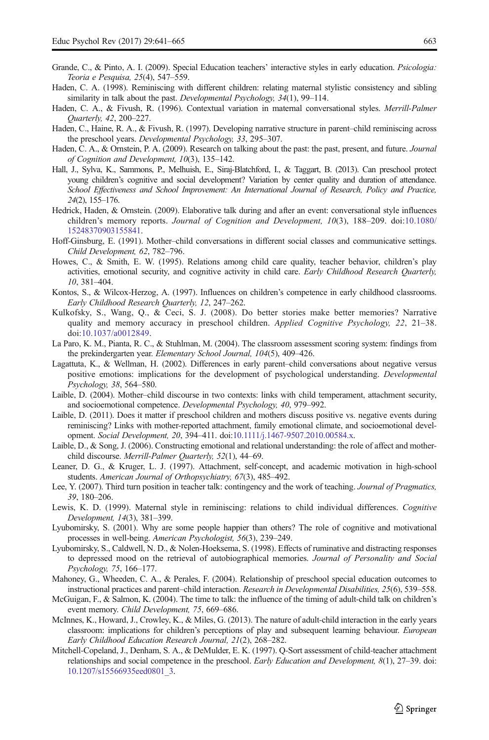- <span id="page-22-0"></span>Grande, C., & Pinto, A. I. (2009). Special Education teachers' interactive styles in early education. *Psicologia:* Teoria e Pesquisa, 25(4), 547–559.
- Haden, C. A. (1998). Reminiscing with different children: relating maternal stylistic consistency and sibling similarity in talk about the past. Developmental Psychology, 34(1), 99–114.
- Haden, C. A., & Fivush, R. (1996). Contextual variation in maternal conversational styles. Merrill-Palmer Quarterly, 42, 200–227.
- Haden, C., Haine, R. A., & Fivush, R. (1997). Developing narrative structure in parent–child reminiscing across the preschool years. Developmental Psychology, 33, 295–307.
- Haden, C. A., & Ornstein, P. A. (2009). Research on talking about the past: the past, present, and future. Journal of Cognition and Development, 10(3), 135–142.
- Hall, J., Sylva, K., Sammons, P., Melhuish, E., Siraj-Blatchford, I., & Taggart, B. (2013). Can preschool protect young children's cognitive and social development? Variation by center quality and duration of attendance. School Effectiveness and School Improvement: An International Journal of Research, Policy and Practice, 24(2), 155–176.
- Hedrick, Haden, & Ornstein. (2009). Elaborative talk during and after an event: conversational style influences children's memory reports. Journal of Cognition and Development, 10(3), 188-209. doi:[10.1080/](http://dx.doi.org/10.1080/15248370903155841) [15248370903155841.](http://dx.doi.org/10.1080/15248370903155841)
- Hoff-Ginsburg, E. (1991). Mother–child conversations in different social classes and communicative settings. Child Development, 62, 782–796.
- Howes, C., & Smith, E. W. (1995). Relations among child care quality, teacher behavior, children's play activities, emotional security, and cognitive activity in child care. Early Childhood Research Quarterly, 10, 381–404.
- Kontos, S., & Wilcox-Herzog, A. (1997). Influences on children's competence in early childhood classrooms. Early Childhood Research Quarterly, 12, 247–262.
- Kulkofsky, S., Wang, Q., & Ceci, S. J. (2008). Do better stories make better memories? Narrative quality and memory accuracy in preschool children. Applied Cognitive Psychology, 22, 21–38. doi[:10.1037/a0012849](http://dx.doi.org/10.1037/a0012849).
- La Paro, K. M., Pianta, R. C., & Stuhlman, M. (2004). The classroom assessment scoring system: findings from the prekindergarten year. Elementary School Journal, 104(5), 409–426.
- Lagattuta, K., & Wellman, H. (2002). Differences in early parent–child conversations about negative versus positive emotions: implications for the development of psychological understanding. Developmental Psychology, 38, 564–580.
- Laible, D. (2004). Mother–child discourse in two contexts: links with child temperament, attachment security, and socioemotional competence. Developmental Psychology, 40, 979–992.
- Laible, D. (2011). Does it matter if preschool children and mothers discuss positive vs. negative events during reminiscing? Links with mother-reported attachment, family emotional climate, and socioemotional development. Social Development, 20, 394–411. doi[:10.1111/j.1467-9507.2010.00584.x.](http://dx.doi.org/10.1111/j.1467-9507.2010.00584.x)
- Laible, D., & Song, J. (2006). Constructing emotional and relational understanding: the role of affect and motherchild discourse. Merrill-Palmer Quarterly, 52(1), 44–69.
- Leaner, D. G., & Kruger, L. J. (1997). Attachment, self-concept, and academic motivation in high-school students. American Journal of Orthopsychiatry, 67(3), 485–492.
- Lee, Y. (2007). Third turn position in teacher talk: contingency and the work of teaching. Journal of Pragmatics, 39, 180–206.
- Lewis, K. D. (1999). Maternal style in reminiscing: relations to child individual differences. Cognitive Development, 14(3), 381–399.
- Lyubomirsky, S. (2001). Why are some people happier than others? The role of cognitive and motivational processes in well-being. American Psychologist, 56(3), 239–249.
- Lyubomirsky, S., Caldwell, N. D., & Nolen-Hoeksema, S. (1998). Effects of ruminative and distracting responses to depressed mood on the retrieval of autobiographical memories. Journal of Personality and Social Psychology, 75, 166–177.
- Mahoney, G., Wheeden, C. A., & Perales, F. (2004). Relationship of preschool special education outcomes to instructional practices and parent–child interaction. Research in Developmental Disabilities, 25(6), 539–558.
- McGuigan, F., & Salmon, K. (2004). The time to talk: the influence of the timing of adult-child talk on children's event memory. Child Development, 75, 669–686.
- McInnes, K., Howard, J., Crowley, K., & Miles, G. (2013). The nature of adult-child interaction in the early years classroom: implications for children's perceptions of play and subsequent learning behaviour. *European* Early Childhood Education Research Journal, 21(2), 268–282.
- Mitchell-Copeland, J., Denham, S. A., & DeMulder, E. K. (1997). Q-Sort assessment of child-teacher attachment relationships and social competence in the preschool. Early Education and Development, 8(1), 27–39. doi: [10.1207/s15566935eed0801\\_3.](http://dx.doi.org/10.1207/s15566935eed0801_3)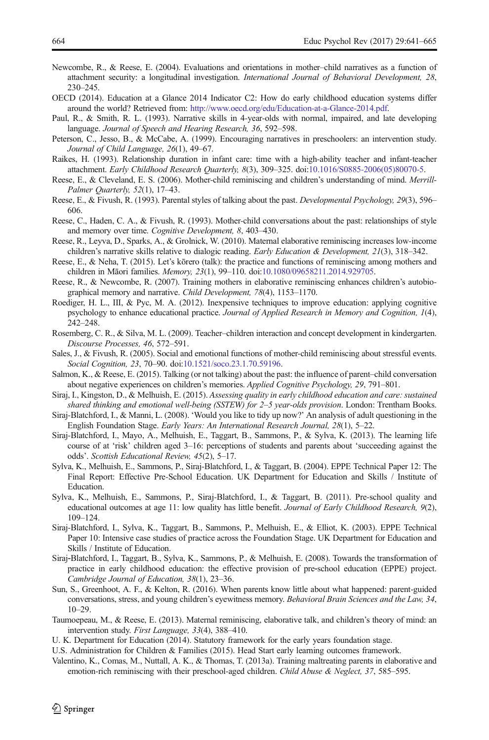- <span id="page-23-0"></span>Newcombe, R., & Reese, E. (2004). Evaluations and orientations in mother–child narratives as a function of attachment security: a longitudinal investigation. International Journal of Behavioral Development, 28, 230–245.
- OECD (2014). Education at a Glance 2014 Indicator C2: How do early childhood education systems differ around the world? Retrieved from: <http://www.oecd.org/edu/Education-at-a-Glance-2014.pdf>.
- Paul, R., & Smith, R. L. (1993). Narrative skills in 4-year-olds with normal, impaired, and late developing language. Journal of Speech and Hearing Research, 36, 592–598.
- Peterson, C., Jesso, B., & McCabe, A. (1999). Encouraging narratives in preschoolers: an intervention study. Journal of Child Language, 26(1), 49–67.
- Raikes, H. (1993). Relationship duration in infant care: time with a high-ability teacher and infant-teacher attachment. Early Childhood Research Quarterly, 8(3), 309–325. doi:[10.1016/S0885-2006\(05\)80070-5.](http://dx.doi.org/10.1016/S0885-2006(05)80070-5)
- Reese, E., & Cleveland, E. S. (2006). Mother-child reminiscing and children's understanding of mind. Merrill-Palmer Quarterly, 52(1), 17-43.
- Reese, E., & Fivush, R. (1993). Parental styles of talking about the past. Developmental Psychology, 29(3), 596– 606.
- Reese, C., Haden, C. A., & Fivush, R. (1993). Mother-child conversations about the past: relationships of style and memory over time. Cognitive Development, 8, 403–430.
- Reese, R., Leyva, D., Sparks, A., & Grolnick, W. (2010). Maternal elaborative reminiscing increases low-income children's narrative skills relative to dialogic reading. Early Education & Development, 21(3), 318–342.
- Reese, E., & Neha, T. (2015). Let's kōrero (talk): the practice and functions of reminiscing among mothers and children in Māori families. Memory, 23(1), 99–110. doi:[10.1080/09658211.2014.929705](http://dx.doi.org/10.1080/09658211.2014.929705).
- Reese, R., & Newcombe, R. (2007). Training mothers in elaborative reminiscing enhances children's autobiographical memory and narrative. Child Development, 78(4), 1153–1170.
- Roediger, H. L., III, & Pyc, M. A. (2012). Inexpensive techniques to improve education: applying cognitive psychology to enhance educational practice. Journal of Applied Research in Memory and Cognition, 1(4), 242–248.
- Rosemberg, C. R., & Silva, M. L. (2009). Teacher–children interaction and concept development in kindergarten. Discourse Processes, 46, 572–591.
- Sales, J., & Fivush, R. (2005). Social and emotional functions of mother-child reminiscing about stressful events. Social Cognition, 23, 70–90. doi:[10.1521/soco.23.1.70.59196](http://dx.doi.org/10.1521/soco.23.1.70.59196).
- Salmon, K., & Reese, E. (2015). Talking (or not talking) about the past: the influence of parent–child conversation about negative experiences on children's memories. Applied Cognitive Psychology, 29, 791–801.
- Siraj, I., Kingston, D., & Melhuish, E. (2015). Assessing quality in early childhood education and care: sustained shared thinking and emotional well-being (SSTEW) for 2–5 year-olds provision. London: Trentham Books.
- Siraj-Blatchford, I., & Manni, L. (2008). 'Would you like to tidy up now?' An analysis of adult questioning in the English Foundation Stage. Early Years: An International Research Journal, 28(1), 5–22.
- Siraj-Blatchford, I., Mayo, A., Melhuish, E., Taggart, B., Sammons, P., & Sylva, K. (2013). The learning life course of at 'risk' children aged 3–16: perceptions of students and parents about 'succeeding against the odds'. Scottish Educational Review, 45(2), 5–17.
- Sylva, K., Melhuish, E., Sammons, P., Siraj-Blatchford, I., & Taggart, B. (2004). EPPE Technical Paper 12: The Final Report: Effective Pre-School Education. UK Department for Education and Skills / Institute of Education.
- Sylva, K., Melhuish, E., Sammons, P., Siraj-Blatchford, I., & Taggart, B. (2011). Pre-school quality and educational outcomes at age 11: low quality has little benefit. Journal of Early Childhood Research, 9(2), 109–124.
- Siraj-Blatchford, I., Sylva, K., Taggart, B., Sammons, P., Melhuish, E., & Elliot, K. (2003). EPPE Technical Paper 10: Intensive case studies of practice across the Foundation Stage. UK Department for Education and Skills / Institute of Education.
- Siraj‐Blatchford, I., Taggart, B., Sylva, K., Sammons, P., & Melhuish, E. (2008). Towards the transformation of practice in early childhood education: the effective provision of pre‐school education (EPPE) project. Cambridge Journal of Education, 38(1), 23–36.
- Sun, S., Greenhoot, A. F., & Kelton, R. (2016). When parents know little about what happened: parent-guided conversations, stress, and young children's eyewitness memory. Behavioral Brain Sciences and the Law, 34, 10–29.
- Taumoepeau, M., & Reese, E. (2013). Maternal reminiscing, elaborative talk, and children's theory of mind: an intervention study. First Language, 33(4), 388–410.
- U. K. Department for Education (2014). Statutory framework for the early years foundation stage.
- U.S. Administration for Children & Families (2015). Head Start early learning outcomes framework.
- Valentino, K., Comas, M., Nuttall, A. K., & Thomas, T. (2013a). Training maltreating parents in elaborative and emotion-rich reminiscing with their preschool-aged children. Child Abuse & Neglect, 37, 585–595.